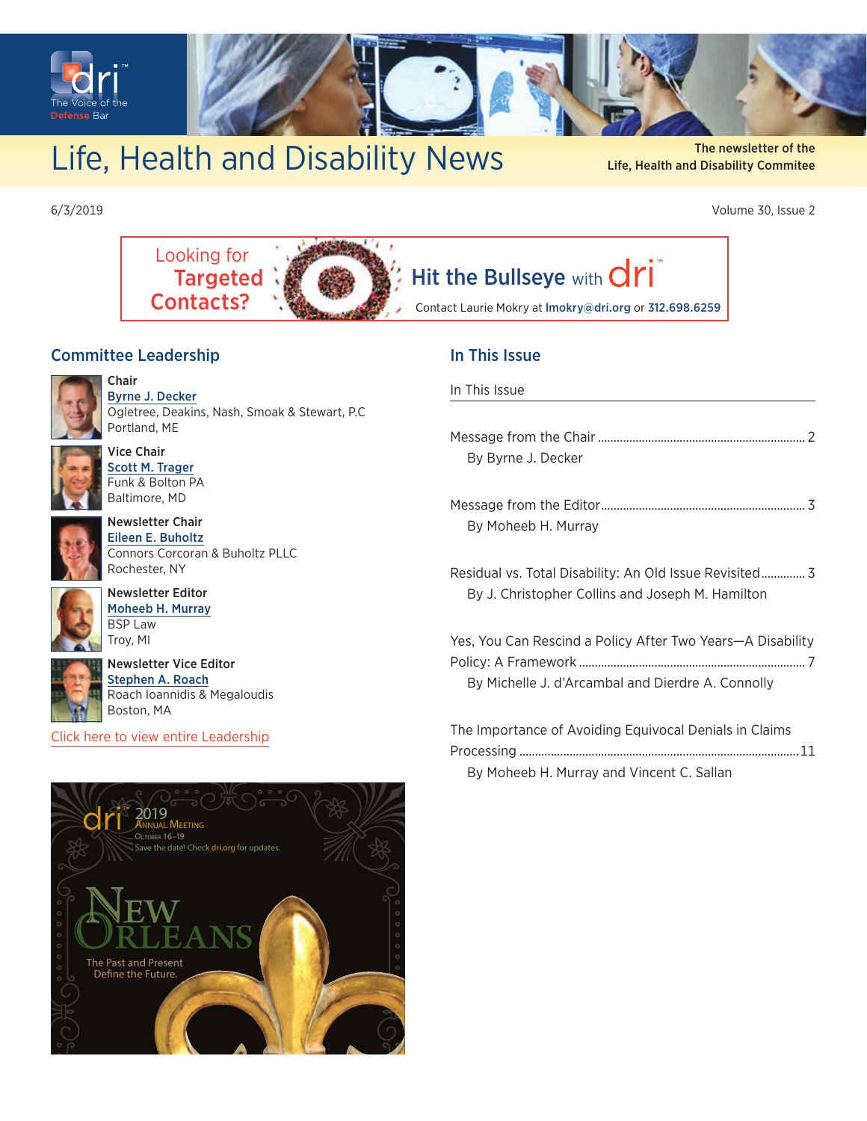<span id="page-0-0"></span>

## Life, Health and Disability News Life, Health and Disability commitee

Life, Health and Disability Commitee

6/3/2019 Volume 30, Issue 2



#### Committee Leadership

Chair



[Byrne J. Decker](https://members.dri.org/DRIIMIS/DRI/Contacts/ContactLayouts/Profile.aspx?ID=225487) Ogletree, Deakins, Nash, Smoak & Stewart, P.C Portland, ME



Vice Chair [Scott M. Trager](https://members.dri.org/DRIIMIS/DRI/Contacts/ContactLayouts/Profile.aspx?ID=241920) Funk & Bolton PA Baltimore, MD



Newsletter Chair [Eileen E. Buholtz](https://members.dri.org/DRIIMIS/DRI/Contacts/ContactLayouts/Profile.aspx?ID=165215) Connors Corcoran & Buholtz PLLC Rochester, NY



Newsletter Editor [Moheeb H. Murray](https://members.dri.org/DRIIMIS/DRI/Contacts/ContactLayouts/Profile.aspx?ID=324704) BSP Law Troy, MI



Newsletter Vice Editor [Stephen A. Roach](https://members.dri.org/DRIIMIS/DRI/Contacts/ContactLayouts/Profile.aspx?ID=235689) Roach Ioannidis & Megaloudis Boston, MA

[Click here to view entire Leadership](https://dri.org/committees/leadership/0085)

# [The Past and Present](https://members.dri.org/driimis/DRI/DRI/Events/Event_Display.aspx?EventKey=20190085&WebsiteKey=dff610f8-3077-475c-9db6-aea95c8e4136)  Define the Future OCTOBER 16–19 2019<br>Annual Meeting ve the date! Check dri.org for updates

#### In This Issue

#### In This Issue

| By Byrne J. Decker                                                                                              |
|-----------------------------------------------------------------------------------------------------------------|
| By Moheeb H. Murray                                                                                             |
| Residual vs. Total Disability: An Old Issue Revisited 3<br>By J. Christopher Collins and Joseph M. Hamilton     |
| Yes, You Can Rescind a Policy After Two Years—A Disability<br>By Michelle J. d'Arcambal and Dierdre A. Connolly |
| The Importance of Avoiding Equivocal Denials in Claims                                                          |

Processing [.........................................................................................11](#page-10-0)

[By Moheeb H. Murray and Vincent C. Sallan](#page-10-0)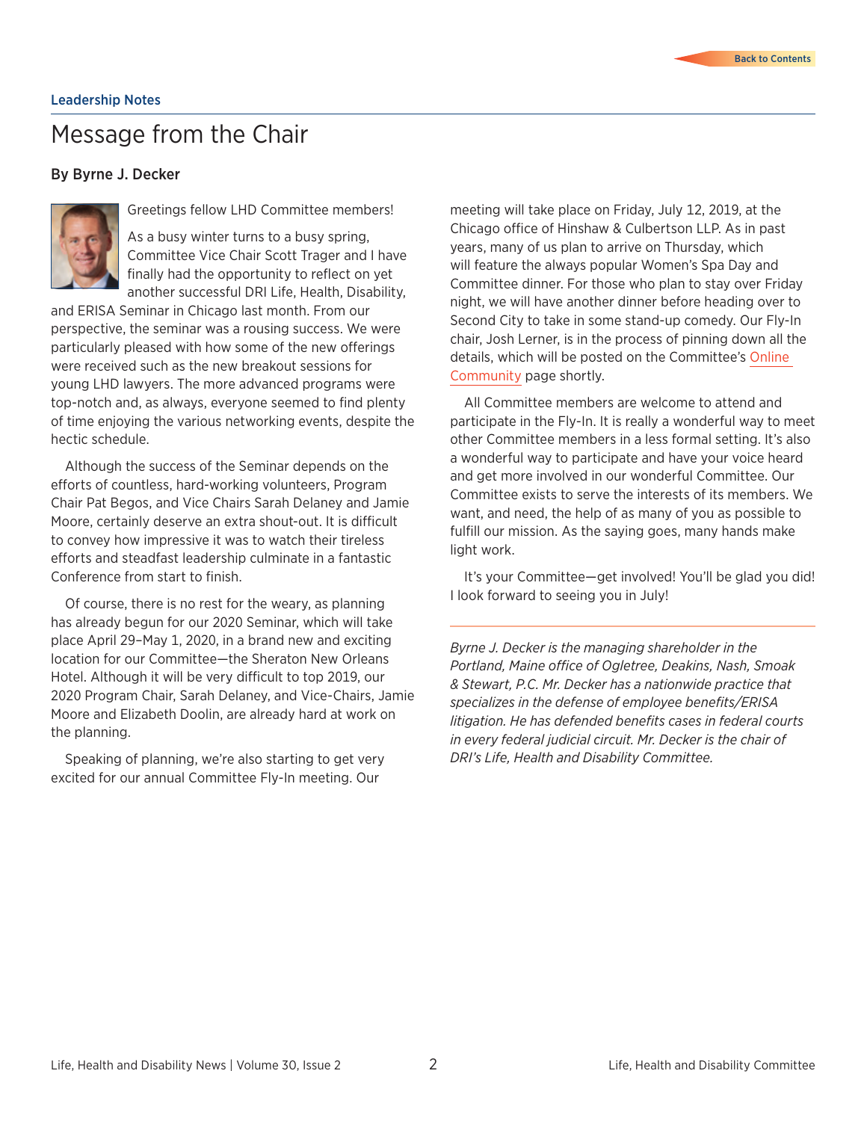### <span id="page-1-0"></span>Message from the Chair

#### By Byrne J. Decker



Greetings fellow LHD Committee members!

As a busy winter turns to a busy spring, Committee Vice Chair Scott Trager and I have finally had the opportunity to reflect on yet another successful DRI Life, Health, Disability,

and ERISA Seminar in Chicago last month. From our perspective, the seminar was a rousing success. We were particularly pleased with how some of the new offerings were received such as the new breakout sessions for young LHD lawyers. The more advanced programs were top-notch and, as always, everyone seemed to find plenty of time enjoying the various networking events, despite the hectic schedule.

Although the success of the Seminar depends on the efforts of countless, hard-working volunteers, Program Chair Pat Begos, and Vice Chairs Sarah Delaney and Jamie Moore, certainly deserve an extra shout-out. It is difficult to convey how impressive it was to watch their tireless efforts and steadfast leadership culminate in a fantastic Conference from start to finish.

Of course, there is no rest for the weary, as planning has already begun for our 2020 Seminar, which will take place April 29–May 1, 2020, in a brand new and exciting location for our Committee—the Sheraton New Orleans Hotel. Although it will be very difficult to top 2019, our 2020 Program Chair, Sarah Delaney, and Vice-Chairs, Jamie Moore and Elizabeth Doolin, are already hard at work on the planning.

Speaking of planning, we're also starting to get very excited for our annual Committee Fly-In meeting. Our

meeting will take place on Friday, July 12, 2019, at the Chicago office of Hinshaw & Culbertson LLP. As in past years, many of us plan to arrive on Thursday, which will feature the always popular Women's Spa Day and Committee dinner. For those who plan to stay over Friday night, we will have another dinner before heading over to Second City to take in some stand-up comedy. Our Fly-In chair, Josh Lerner, is in the process of pinning down all the details, which will be posted on the Committee's [Online](https://community.dri.org/communities/community-home?CommunityKey=2b8db404-10da-44f6-a641-1663b2ae7f2c)  [Community](https://community.dri.org/communities/community-home?CommunityKey=2b8db404-10da-44f6-a641-1663b2ae7f2c) page shortly.

All Committee members are welcome to attend and participate in the Fly-In. It is really a wonderful way to meet other Committee members in a less formal setting. It's also a wonderful way to participate and have your voice heard and get more involved in our wonderful Committee. Our Committee exists to serve the interests of its members. We want, and need, the help of as many of you as possible to fulfill our mission. As the saying goes, many hands make light work.

It's your Committee—get involved! You'll be glad you did! I look forward to seeing you in July!

*Byrne J. Decker is the managing shareholder in the Portland, Maine office of Ogletree, Deakins, Nash, Smoak & Stewart, P.C. Mr. Decker has a nationwide practice that specializes in the defense of employee benefits/ERISA litigation. He has defended benefits cases in federal courts in every federal judicial circuit. Mr. Decker is the chair of DRI's Life, Health and Disability Committee.*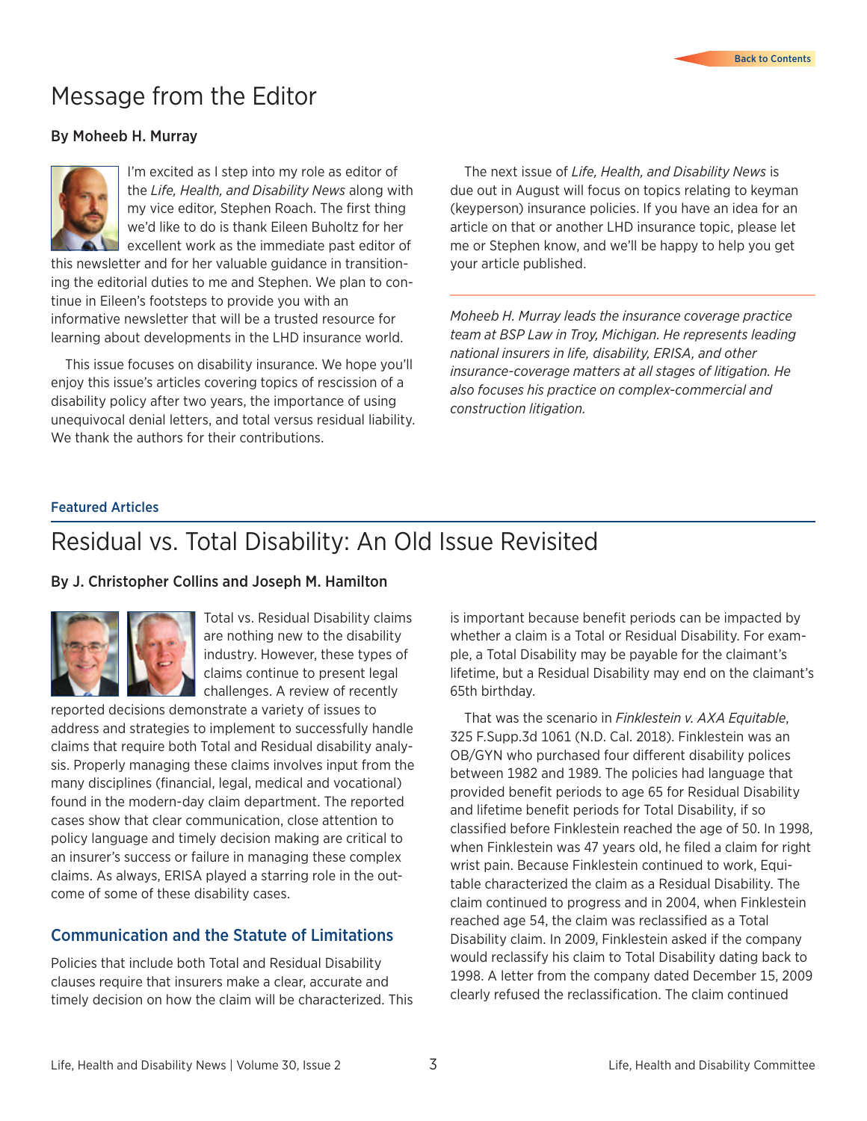## <span id="page-2-0"></span>Message from the Editor

#### By Moheeb H. Murray



I'm excited as I step into my role as editor of the *Life, Health, and Disability News* along with my vice editor, Stephen Roach. The first thing we'd like to do is thank Eileen Buholtz for her excellent work as the immediate past editor of

this newsletter and for her valuable guidance in transitioning the editorial duties to me and Stephen. We plan to continue in Eileen's footsteps to provide you with an informative newsletter that will be a trusted resource for learning about developments in the LHD insurance world.

This issue focuses on disability insurance. We hope you'll enjoy this issue's articles covering topics of rescission of a disability policy after two years, the importance of using unequivocal denial letters, and total versus residual liability. We thank the authors for their contributions.

The next issue of *Life, Health, and Disability News* is due out in August will focus on topics relating to keyman (keyperson) insurance policies. If you have an idea for an article on that or another LHD insurance topic, please let me or Stephen know, and we'll be happy to help you get your article published.

*Moheeb H. Murray leads the insurance coverage practice team at BSP Law in Troy, Michigan. He represents leading national insurers in life, disability, ERISA, and other insurance-coverage matters at all stages of litigation. He also focuses his practice on complex-commercial and construction litigation.* 

#### Featured Articles

## Residual vs. Total Disability: An Old Issue Revisited

#### By J. Christopher Collins and Joseph M. Hamilton



Total vs. Residual Disability claims are nothing new to the disability industry. However, these types of claims continue to present legal challenges. A review of recently

reported decisions demonstrate a variety of issues to address and strategies to implement to successfully handle claims that require both Total and Residual disability analysis. Properly managing these claims involves input from the many disciplines (financial, legal, medical and vocational) found in the modern-day claim department. The reported cases show that clear communication, close attention to policy language and timely decision making are critical to an insurer's success or failure in managing these complex claims. As always, ERISA played a starring role in the outcome of some of these disability cases.

#### Communication and the Statute of Limitations

Policies that include both Total and Residual Disability clauses require that insurers make a clear, accurate and timely decision on how the claim will be characterized. This is important because benefit periods can be impacted by whether a claim is a Total or Residual Disability. For example, a Total Disability may be payable for the claimant's lifetime, but a Residual Disability may end on the claimant's 65th birthday.

That was the scenario in *Finklestein v. AXA Equitable*, 325 F.Supp.3d 1061 (N.D. Cal. 2018). Finklestein was an OB/GYN who purchased four different disability polices between 1982 and 1989. The policies had language that provided benefit periods to age 65 for Residual Disability and lifetime benefit periods for Total Disability, if so classified before Finklestein reached the age of 50. In 1998, when Finklestein was 47 years old, he filed a claim for right wrist pain. Because Finklestein continued to work, Equitable characterized the claim as a Residual Disability. The claim continued to progress and in 2004, when Finklestein reached age 54, the claim was reclassified as a Total Disability claim. In 2009, Finklestein asked if the company would reclassify his claim to Total Disability dating back to 1998. A letter from the company dated December 15, 2009 clearly refused the reclassification. The claim continued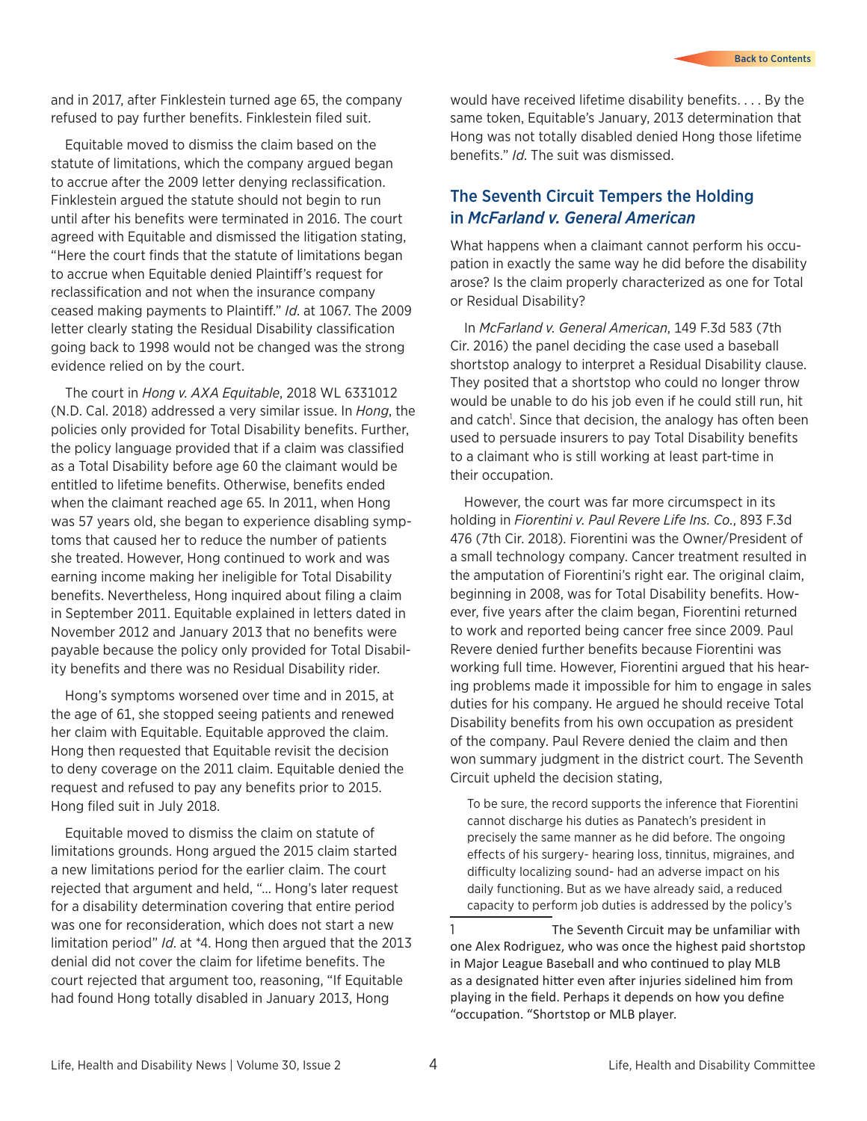and in 2017, after Finklestein turned age 65, the company refused to pay further benefits. Finklestein filed suit.

Equitable moved to dismiss the claim based on the statute of limitations, which the company argued began to accrue after the 2009 letter denying reclassification. Finklestein argued the statute should not begin to run until after his benefits were terminated in 2016. The court agreed with Equitable and dismissed the litigation stating, "Here the court finds that the statute of limitations began to accrue when Equitable denied Plaintiff's request for reclassification and not when the insurance company ceased making payments to Plaintiff." *Id*. at 1067. The 2009 letter clearly stating the Residual Disability classification going back to 1998 would not be changed was the strong evidence relied on by the court.

The court in *Hong v. AXA Equitable*, 2018 WL 6331012 (N.D. Cal. 2018) addressed a very similar issue. In *Hong*, the policies only provided for Total Disability benefits. Further, the policy language provided that if a claim was classified as a Total Disability before age 60 the claimant would be entitled to lifetime benefits. Otherwise, benefits ended when the claimant reached age 65. In 2011, when Hong was 57 years old, she began to experience disabling symptoms that caused her to reduce the number of patients she treated. However, Hong continued to work and was earning income making her ineligible for Total Disability benefits. Nevertheless, Hong inquired about filing a claim in September 2011. Equitable explained in letters dated in November 2012 and January 2013 that no benefits were payable because the policy only provided for Total Disability benefits and there was no Residual Disability rider.

Hong's symptoms worsened over time and in 2015, at the age of 61, she stopped seeing patients and renewed her claim with Equitable. Equitable approved the claim. Hong then requested that Equitable revisit the decision to deny coverage on the 2011 claim. Equitable denied the request and refused to pay any benefits prior to 2015. Hong filed suit in July 2018.

Equitable moved to dismiss the claim on statute of limitations grounds. Hong argued the 2015 claim started a new limitations period for the earlier claim. The court rejected that argument and held, "… Hong's later request for a disability determination covering that entire period was one for reconsideration, which does not start a new limitation period" *Id*. at \*4. Hong then argued that the 2013 denial did not cover the claim for lifetime benefits. The court rejected that argument too, reasoning, "If Equitable had found Hong totally disabled in January 2013, Hong

would have received lifetime disability benefits. . . . By the same token, Equitable's January, 2013 determination that Hong was not totally disabled denied Hong those lifetime benefits." *Id*. The suit was dismissed.

#### The Seventh Circuit Tempers the Holding in *McFarland v. General American*

What happens when a claimant cannot perform his occupation in exactly the same way he did before the disability arose? Is the claim properly characterized as one for Total or Residual Disability?

In *McFarland v. General American*, 149 F.3d 583 (7th Cir. 2016) the panel deciding the case used a baseball shortstop analogy to interpret a Residual Disability clause. They posited that a shortstop who could no longer throw would be unable to do his job even if he could still run, hit and catch<sup>1</sup>. Since that decision, the analogy has often been used to persuade insurers to pay Total Disability benefits to a claimant who is still working at least part-time in their occupation.

However, the court was far more circumspect in its holding in *Fiorentini v. Paul Revere Life Ins. Co.*, 893 F.3d 476 (7th Cir. 2018). Fiorentini was the Owner/President of a small technology company. Cancer treatment resulted in the amputation of Fiorentini's right ear. The original claim, beginning in 2008, was for Total Disability benefits. However, five years after the claim began, Fiorentini returned to work and reported being cancer free since 2009. Paul Revere denied further benefits because Fiorentini was working full time. However, Fiorentini argued that his hearing problems made it impossible for him to engage in sales duties for his company. He argued he should receive Total Disability benefits from his own occupation as president of the company. Paul Revere denied the claim and then won summary judgment in the district court. The Seventh Circuit upheld the decision stating,

To be sure, the record supports the inference that Fiorentini cannot discharge his duties as Panatech's president in precisely the same manner as he did before. The ongoing effects of his surgery- hearing loss, tinnitus, migraines, and difficulty localizing sound- had an adverse impact on his daily functioning. But as we have already said, a reduced capacity to perform job duties is addressed by the policy's

1 The Seventh Circuit may be unfamiliar with one Alex Rodriguez, who was once the highest paid shortstop in Major League Baseball and who continued to play MLB as a designated hitter even after injuries sidelined him from playing in the field. Perhaps it depends on how you define "occupation. "Shortstop or MLB player.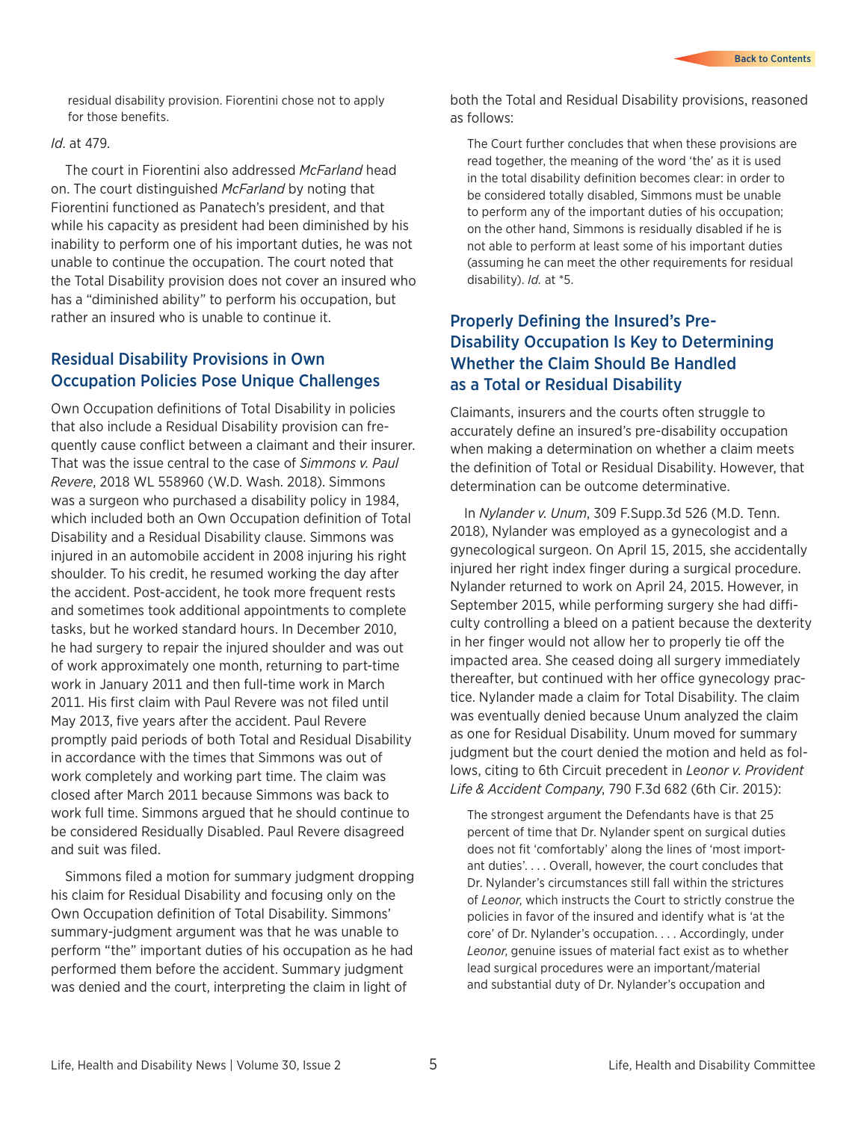residual disability provision. Fiorentini chose not to apply for those benefits.

#### *Id*. at 479.

The court in Fiorentini also addressed *McFarland* head on. The court distinguished *McFarland* by noting that Fiorentini functioned as Panatech's president, and that while his capacity as president had been diminished by his inability to perform one of his important duties, he was not unable to continue the occupation. The court noted that the Total Disability provision does not cover an insured who has a "diminished ability" to perform his occupation, but rather an insured who is unable to continue it.

#### Residual Disability Provisions in Own Occupation Policies Pose Unique Challenges

Own Occupation definitions of Total Disability in policies that also include a Residual Disability provision can frequently cause conflict between a claimant and their insurer. That was the issue central to the case of *Simmons v. Paul Revere*, 2018 WL 558960 (W.D. Wash. 2018). Simmons was a surgeon who purchased a disability policy in 1984, which included both an Own Occupation definition of Total Disability and a Residual Disability clause. Simmons was injured in an automobile accident in 2008 injuring his right shoulder. To his credit, he resumed working the day after the accident. Post-accident, he took more frequent rests and sometimes took additional appointments to complete tasks, but he worked standard hours. In December 2010, he had surgery to repair the injured shoulder and was out of work approximately one month, returning to part-time work in January 2011 and then full-time work in March 2011. His first claim with Paul Revere was not filed until May 2013, five years after the accident. Paul Revere promptly paid periods of both Total and Residual Disability in accordance with the times that Simmons was out of work completely and working part time. The claim was closed after March 2011 because Simmons was back to work full time. Simmons argued that he should continue to be considered Residually Disabled. Paul Revere disagreed and suit was filed.

Simmons filed a motion for summary judgment dropping his claim for Residual Disability and focusing only on the Own Occupation definition of Total Disability. Simmons' summary-judgment argument was that he was unable to perform "the" important duties of his occupation as he had performed them before the accident. Summary judgment was denied and the court, interpreting the claim in light of

both the Total and Residual Disability provisions, reasoned as follows:

The Court further concludes that when these provisions are read together, the meaning of the word 'the' as it is used in the total disability definition becomes clear: in order to be considered totally disabled, Simmons must be unable to perform any of the important duties of his occupation; on the other hand, Simmons is residually disabled if he is not able to perform at least some of his important duties (assuming he can meet the other requirements for residual disability). *Id.* at \*5.

#### Properly Defining the Insured's Pre-Disability Occupation Is Key to Determining Whether the Claim Should Be Handled as a Total or Residual Disability

Claimants, insurers and the courts often struggle to accurately define an insured's pre-disability occupation when making a determination on whether a claim meets the definition of Total or Residual Disability. However, that determination can be outcome determinative.

In *Nylander v. Unum*, 309 F.Supp.3d 526 (M.D. Tenn. 2018), Nylander was employed as a gynecologist and a gynecological surgeon. On April 15, 2015, she accidentally injured her right index finger during a surgical procedure. Nylander returned to work on April 24, 2015. However, in September 2015, while performing surgery she had difficulty controlling a bleed on a patient because the dexterity in her finger would not allow her to properly tie off the impacted area. She ceased doing all surgery immediately thereafter, but continued with her office gynecology practice. Nylander made a claim for Total Disability. The claim was eventually denied because Unum analyzed the claim as one for Residual Disability. Unum moved for summary judgment but the court denied the motion and held as follows, citing to 6th Circuit precedent in *Leonor v. Provident Life & Accident Company*, 790 F.3d 682 (6th Cir. 2015):

The strongest argument the Defendants have is that 25 percent of time that Dr. Nylander spent on surgical duties does not fit 'comfortably' along the lines of 'most important duties'. . . . Overall, however, the court concludes that Dr. Nylander's circumstances still fall within the strictures of *Leonor*, which instructs the Court to strictly construe the policies in favor of the insured and identify what is 'at the core' of Dr. Nylander's occupation. . . . Accordingly, under *Leonor*, genuine issues of material fact exist as to whether lead surgical procedures were an important/material and substantial duty of Dr. Nylander's occupation and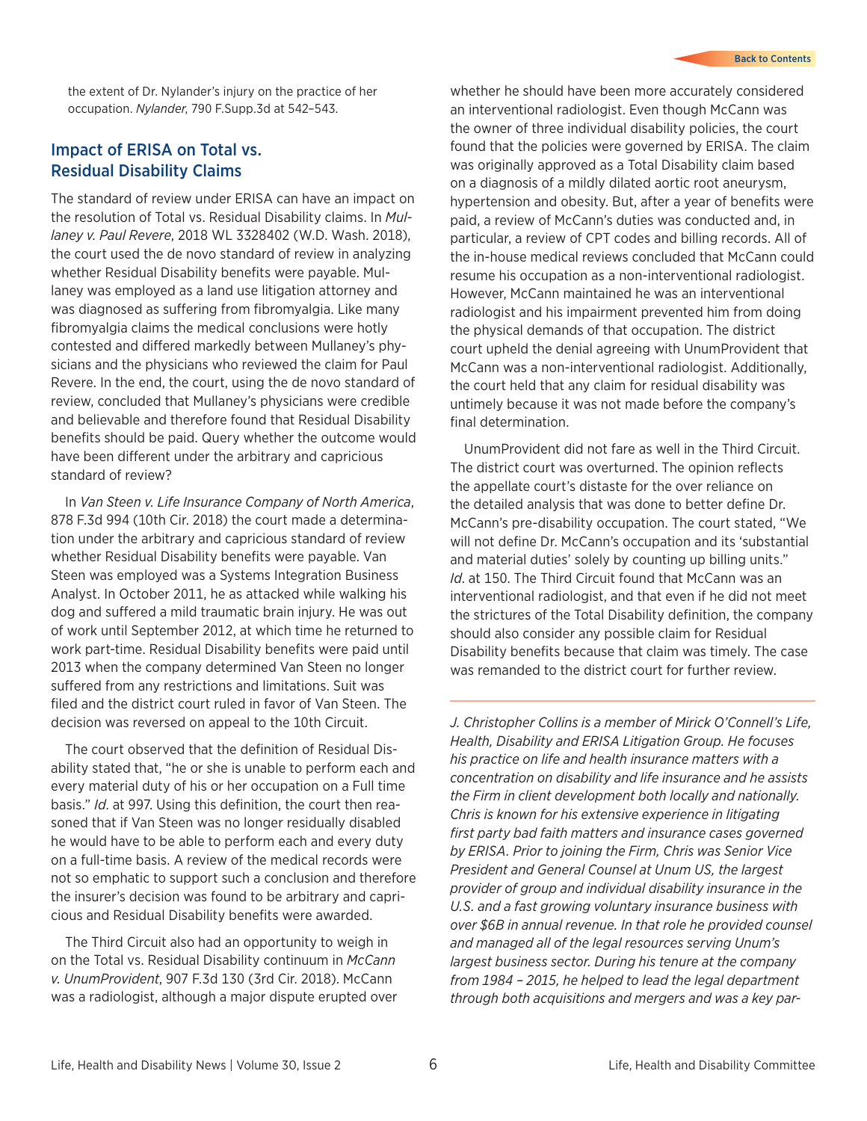the extent of Dr. Nylander's injury on the practice of her occupation. *Nylander*, 790 F.Supp.3d at 542–543.

#### Impact of ERISA on Total vs. Residual Disability Claims

The standard of review under ERISA can have an impact on the resolution of Total vs. Residual Disability claims. In *Mullaney v. Paul Revere*, 2018 WL 3328402 (W.D. Wash. 2018), the court used the de novo standard of review in analyzing whether Residual Disability benefits were payable. Mullaney was employed as a land use litigation attorney and was diagnosed as suffering from fibromyalgia. Like many fibromyalgia claims the medical conclusions were hotly contested and differed markedly between Mullaney's physicians and the physicians who reviewed the claim for Paul Revere. In the end, the court, using the de novo standard of review, concluded that Mullaney's physicians were credible and believable and therefore found that Residual Disability benefits should be paid. Query whether the outcome would have been different under the arbitrary and capricious standard of review?

In *Van Steen v. Life Insurance Company of North America*, 878 F.3d 994 (10th Cir. 2018) the court made a determination under the arbitrary and capricious standard of review whether Residual Disability benefits were payable. Van Steen was employed was a Systems Integration Business Analyst. In October 2011, he as attacked while walking his dog and suffered a mild traumatic brain injury. He was out of work until September 2012, at which time he returned to work part-time. Residual Disability benefits were paid until 2013 when the company determined Van Steen no longer suffered from any restrictions and limitations. Suit was filed and the district court ruled in favor of Van Steen. The decision was reversed on appeal to the 10th Circuit.

The court observed that the definition of Residual Disability stated that, "he or she is unable to perform each and every material duty of his or her occupation on a Full time basis." *Id*. at 997. Using this definition, the court then reasoned that if Van Steen was no longer residually disabled he would have to be able to perform each and every duty on a full-time basis. A review of the medical records were not so emphatic to support such a conclusion and therefore the insurer's decision was found to be arbitrary and capricious and Residual Disability benefits were awarded.

The Third Circuit also had an opportunity to weigh in on the Total vs. Residual Disability continuum in *McCann v. UnumProvident*, 907 F.3d 130 (3rd Cir. 2018). McCann was a radiologist, although a major dispute erupted over whether he should have been more accurately considered an interventional radiologist. Even though McCann was the owner of three individual disability policies, the court found that the policies were governed by ERISA. The claim was originally approved as a Total Disability claim based on a diagnosis of a mildly dilated aortic root aneurysm, hypertension and obesity. But, after a year of benefits were paid, a review of McCann's duties was conducted and, in particular, a review of CPT codes and billing records. All of the in-house medical reviews concluded that McCann could resume his occupation as a non-interventional radiologist. However, McCann maintained he was an interventional radiologist and his impairment prevented him from doing the physical demands of that occupation. The district court upheld the denial agreeing with UnumProvident that McCann was a non-interventional radiologist. Additionally, the court held that any claim for residual disability was untimely because it was not made before the company's final determination.

UnumProvident did not fare as well in the Third Circuit. The district court was overturned. The opinion reflects the appellate court's distaste for the over reliance on the detailed analysis that was done to better define Dr. McCann's pre-disability occupation. The court stated, "We will not define Dr. McCann's occupation and its 'substantial and material duties' solely by counting up billing units." *Id*. at 150. The Third Circuit found that McCann was an interventional radiologist, and that even if he did not meet the strictures of the Total Disability definition, the company should also consider any possible claim for Residual Disability benefits because that claim was timely. The case was remanded to the district court for further review.

*J. Christopher Collins is a member of Mirick O'Connell's Life, Health, Disability and ERISA Litigation Group. He focuses his practice on life and health insurance matters with a concentration on disability and life insurance and he assists the Firm in client development both locally and nationally. Chris is known for his extensive experience in litigating first party bad faith matters and insurance cases governed by ERISA. Prior to joining the Firm, Chris was Senior Vice President and General Counsel at Unum US, the largest provider of group and individual disability insurance in the U.S. and a fast growing voluntary insurance business with over \$6B in annual revenue. In that role he provided counsel and managed all of the legal resources serving Unum's largest business sector. During his tenure at the company from 1984 – 2015, he helped to lead the legal department through both acquisitions and mergers and was a key par-*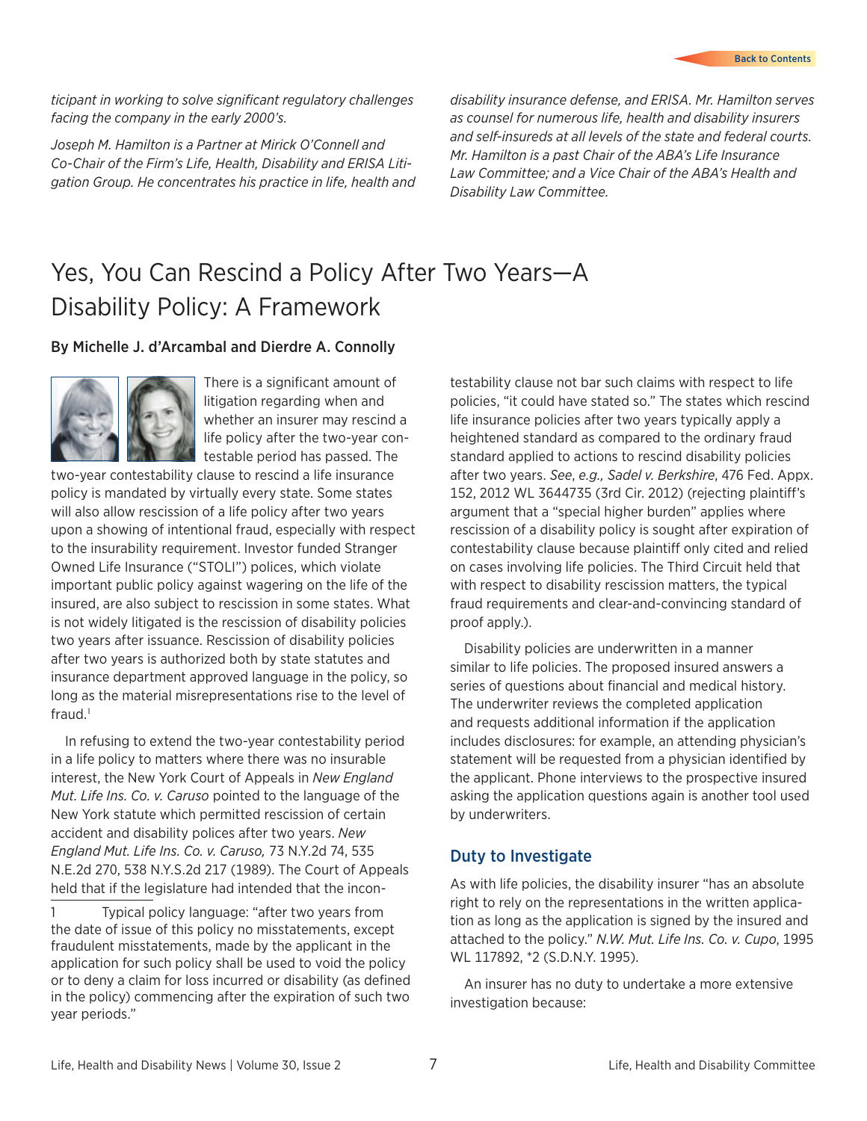#### <span id="page-6-0"></span>*ticipant in working to solve significant regulatory challenges facing the company in the early 2000's.*

*Joseph M. Hamilton is a Partner at Mirick O'Connell and Co-Chair of the Firm's Life, Health, Disability and ERISA Litigation Group. He concentrates his practice in life, health and* 

*disability insurance defense, and ERISA. Mr. Hamilton serves as counsel for numerous life, health and disability insurers and self-insureds at all levels of the state and federal courts. Mr. Hamilton is a past Chair of the ABA's Life Insurance Law Committee; and a Vice Chair of the ABA's Health and Disability Law Committee.*

## Yes, You Can Rescind a Policy After Two Years—A Disability Policy: A Framework

#### By Michelle J. d'Arcambal and Dierdre A. Connolly



There is a significant amount of litigation regarding when and whether an insurer may rescind a life policy after the two-year contestable period has passed. The

two-year contestability clause to rescind a life insurance policy is mandated by virtually every state. Some states will also allow rescission of a life policy after two years upon a showing of intentional fraud, especially with respect to the insurability requirement. Investor funded Stranger Owned Life Insurance ("STOLI") polices, which violate important public policy against wagering on the life of the insured, are also subject to rescission in some states. What is not widely litigated is the rescission of disability policies two years after issuance. Rescission of disability policies after two years is authorized both by state statutes and insurance department approved language in the policy, so long as the material misrepresentations rise to the level of fraud. $1$ 

In refusing to extend the two-year contestability period in a life policy to matters where there was no insurable interest, the New York Court of Appeals in *New England Mut. Life Ins. Co. v. Caruso* pointed to the language of the New York statute which permitted rescission of certain accident and disability polices after two years. *New England Mut. Life Ins. Co. v. Caruso,* 73 N.Y.2d 74, 535 N.E.2d 270, 538 N.Y.S.2d 217 (1989). The Court of Appeals held that if the legislature had intended that the incon-

1 Typical policy language: "after two years from the date of issue of this policy no misstatements, except fraudulent misstatements, made by the applicant in the application for such policy shall be used to void the policy or to deny a claim for loss incurred or disability (as defined in the policy) commencing after the expiration of such two year periods."

testability clause not bar such claims with respect to life policies, "it could have stated so." The states which rescind life insurance policies after two years typically apply a heightened standard as compared to the ordinary fraud standard applied to actions to rescind disability policies after two years. *See*, *e.g., Sadel v. Berkshire*, 476 Fed. Appx. 152, 2012 WL 3644735 (3rd Cir. 2012) (rejecting plaintiff's argument that a "special higher burden" applies where rescission of a disability policy is sought after expiration of contestability clause because plaintiff only cited and relied on cases involving life policies. The Third Circuit held that with respect to disability rescission matters, the typical fraud requirements and clear-and-convincing standard of proof apply.).

Disability policies are underwritten in a manner similar to life policies. The proposed insured answers a series of questions about financial and medical history. The underwriter reviews the completed application and requests additional information if the application includes disclosures: for example, an attending physician's statement will be requested from a physician identified by the applicant. Phone interviews to the prospective insured asking the application questions again is another tool used by underwriters.

#### Duty to Investigate

As with life policies, the disability insurer "has an absolute right to rely on the representations in the written application as long as the application is signed by the insured and attached to the policy." *N.W. Mut. Life Ins. Co. v. Cupo*, 1995 WL 117892, \*2 (S.D.N.Y. 1995).

An insurer has no duty to undertake a more extensive investigation because: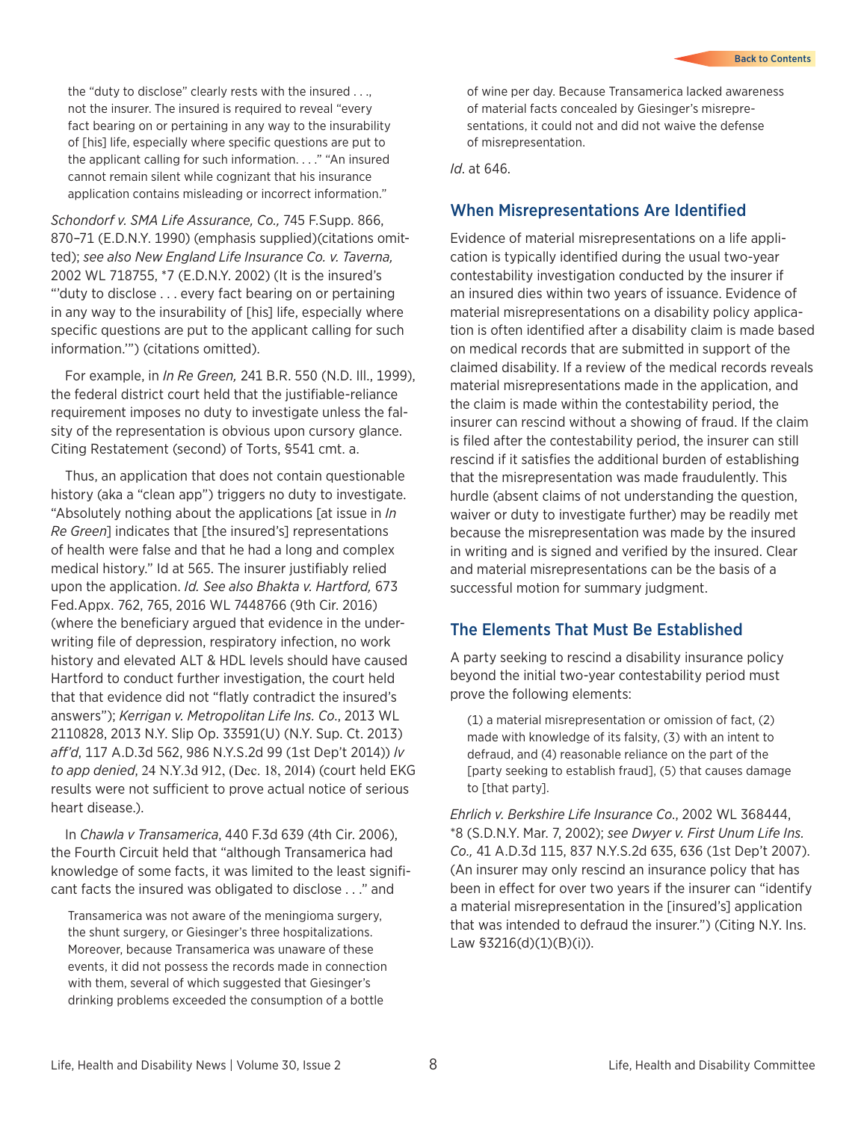the "duty to disclose" clearly rests with the insured . . ., not the insurer. The insured is required to reveal "every fact bearing on or pertaining in any way to the insurability of [his] life, especially where specific questions are put to the applicant calling for such information. . . ." "An insured cannot remain silent while cognizant that his insurance application contains misleading or incorrect information."

*Schondorf v. SMA Life Assurance, Co.,* 745 F.Supp. 866, 870–71 (E.D.N.Y. 1990) (emphasis supplied)(citations omitted); *see also New England Life Insurance Co. v. Taverna,*  2002 WL 718755, \*7 (E.D.N.Y. 2002) (It is the insured's "'duty to disclose . . . every fact bearing on or pertaining in any way to the insurability of [his] life, especially where specific questions are put to the applicant calling for such information.'") (citations omitted).

For example, in *In Re Green,* 241 B.R. 550 (N.D. Ill., 1999), the federal district court held that the justifiable-reliance requirement imposes no duty to investigate unless the falsity of the representation is obvious upon cursory glance. Citing Restatement (second) of Torts, §541 cmt. a.

Thus, an application that does not contain questionable history (aka a "clean app") triggers no duty to investigate. "Absolutely nothing about the applications [at issue in *In Re Green*] indicates that [the insured's] representations of health were false and that he had a long and complex medical history." Id at 565. The insurer justifiably relied upon the application. *Id. See also Bhakta v. Hartford,* 673 Fed.Appx. 762, 765, 2016 WL 7448766 (9th Cir. 2016) (where the beneficiary argued that evidence in the underwriting file of depression, respiratory infection, no work history and elevated ALT & HDL levels should have caused Hartford to conduct further investigation, the court held that that evidence did not "flatly contradict the insured's answers"); *Kerrigan v. Metropolitan Life Ins. Co*., 2013 WL 2110828, 2013 N.Y. Slip Op. 33591(U) (N.Y. Sup. Ct. 2013) *aff'd*, 117 A.D.3d 562, 986 N.Y.S.2d 99 (1st Dep't 2014)) *lv to app denied*, 24 N.Y.3d 912, (Dec. 18, 2014) (court held EKG results were not sufficient to prove actual notice of serious heart disease.).

In *Chawla v Transamerica*, 440 F.3d 639 (4th Cir. 2006), the Fourth Circuit held that "although Transamerica had knowledge of some facts, it was limited to the least significant facts the insured was obligated to disclose . . ." and

Transamerica was not aware of the meningioma surgery, the shunt surgery, or Giesinger's three hospitalizations. Moreover, because Transamerica was unaware of these events, it did not possess the records made in connection with them, several of which suggested that Giesinger's drinking problems exceeded the consumption of a bottle

of wine per day. Because Transamerica lacked awareness of material facts concealed by Giesinger's misrepresentations, it could not and did not waive the defense of misrepresentation.

*Id*. at 646.

#### When Misrepresentations Are Identified

Evidence of material misrepresentations on a life application is typically identified during the usual two-year contestability investigation conducted by the insurer if an insured dies within two years of issuance. Evidence of material misrepresentations on a disability policy application is often identified after a disability claim is made based on medical records that are submitted in support of the claimed disability. If a review of the medical records reveals material misrepresentations made in the application, and the claim is made within the contestability period, the insurer can rescind without a showing of fraud. If the claim is filed after the contestability period, the insurer can still rescind if it satisfies the additional burden of establishing that the misrepresentation was made fraudulently. This hurdle (absent claims of not understanding the question, waiver or duty to investigate further) may be readily met because the misrepresentation was made by the insured in writing and is signed and verified by the insured. Clear and material misrepresentations can be the basis of a successful motion for summary judgment.

#### The Elements That Must Be Established

A party seeking to rescind a disability insurance policy beyond the initial two-year contestability period must prove the following elements:

(1) a material misrepresentation or omission of fact, (2) made with knowledge of its falsity, (3) with an intent to defraud, and (4) reasonable reliance on the part of the [party seeking to establish fraud], (5) that causes damage to [that party].

*Ehrlich v. Berkshire Life Insurance Co*., 2002 WL 368444, \*8 (S.D.N.Y. Mar. 7, 2002); *see Dwyer v. First Unum Life Ins. Co.,* 41 A.D.3d 115, 837 N.Y.S.2d 635, 636 (1st Dep't 2007). (An insurer may only rescind an insurance policy that has been in effect for over two years if the insurer can "identify a material misrepresentation in the [insured's] application that was intended to defraud the insurer.") (Citing N.Y. Ins. Law §3216(d)(1)(B)(i)).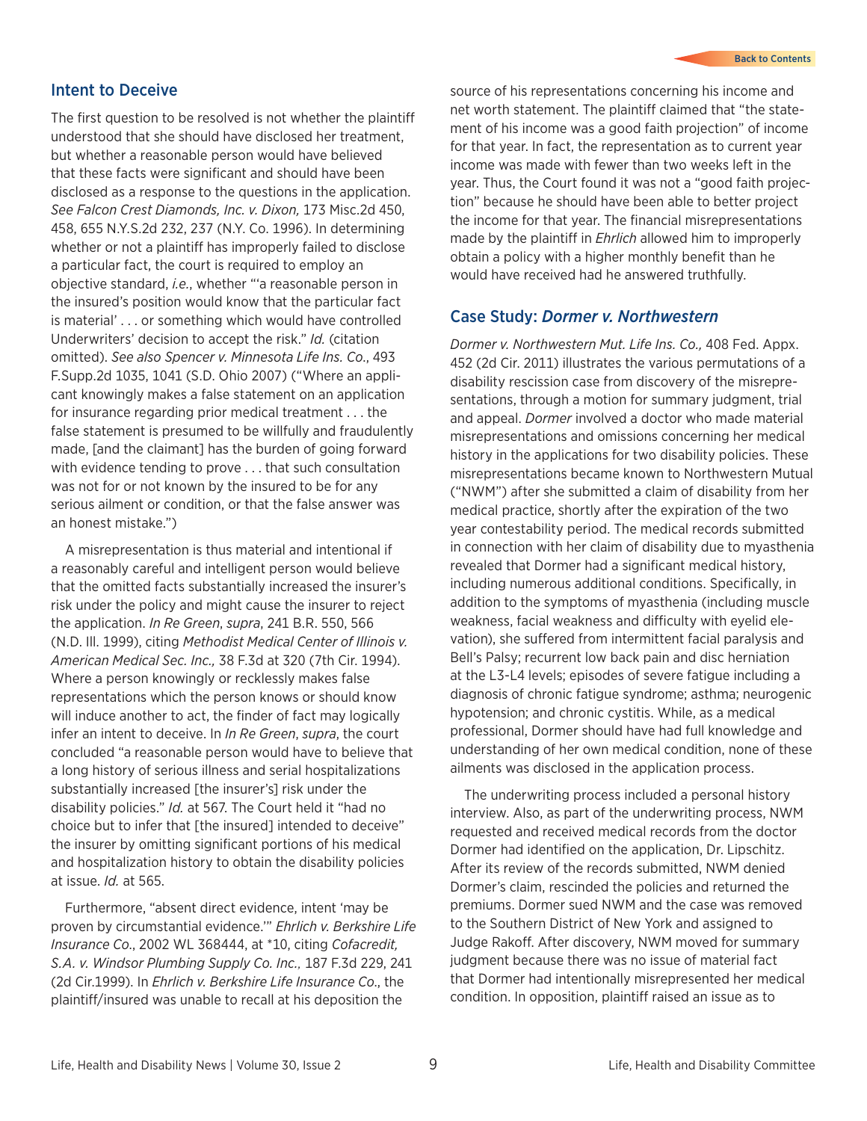#### Intent to Deceive

The first question to be resolved is not whether the plaintiff understood that she should have disclosed her treatment, but whether a reasonable person would have believed that these facts were significant and should have been disclosed as a response to the questions in the application. *See Falcon Crest Diamonds, Inc. v. Dixon,* 173 Misc.2d 450, 458, 655 N.Y.S.2d 232, 237 (N.Y. Co. 1996). In determining whether or not a plaintiff has improperly failed to disclose a particular fact, the court is required to employ an objective standard, *i.e.*, whether "'a reasonable person in the insured's position would know that the particular fact is material' . . . or something which would have controlled Underwriters' decision to accept the risk." *Id.* (citation omitted). *See also Spencer v. Minnesota Life Ins. Co*., 493 F.Supp.2d 1035, 1041 (S.D. Ohio 2007) ("Where an applicant knowingly makes a false statement on an application for insurance regarding prior medical treatment . . . the false statement is presumed to be willfully and fraudulently made, [and the claimant] has the burden of going forward with evidence tending to prove . . . that such consultation was not for or not known by the insured to be for any serious ailment or condition, or that the false answer was an honest mistake.")

A misrepresentation is thus material and intentional if a reasonably careful and intelligent person would believe that the omitted facts substantially increased the insurer's risk under the policy and might cause the insurer to reject the application. *In Re Green*, *supra*, 241 B.R. 550, 566 (N.D. Ill. 1999), citing *Methodist Medical Center of Illinois v. American Medical Sec. Inc.,* 38 F.3d at 320 (7th Cir. 1994). Where a person knowingly or recklessly makes false representations which the person knows or should know will induce another to act, the finder of fact may logically infer an intent to deceive. In *In Re Green*, *supra*, the court concluded "a reasonable person would have to believe that a long history of serious illness and serial hospitalizations substantially increased [the insurer's] risk under the disability policies." *Id.* at 567. The Court held it "had no choice but to infer that [the insured] intended to deceive" the insurer by omitting significant portions of his medical and hospitalization history to obtain the disability policies at issue. *Id.* at 565.

Furthermore, "absent direct evidence, intent 'may be proven by circumstantial evidence.'" *Ehrlich v. Berkshire Life Insurance Co*., 2002 WL 368444, at \*10, citing *Cofacredit, S.A. v. Windsor Plumbing Supply Co. Inc.,* 187 F.3d 229, 241 (2d Cir.1999). In *Ehrlich v. Berkshire Life Insurance Co*., the plaintiff/insured was unable to recall at his deposition the

source of his representations concerning his income and net worth statement. The plaintiff claimed that "the statement of his income was a good faith projection" of income for that year. In fact, the representation as to current year income was made with fewer than two weeks left in the year. Thus, the Court found it was not a "good faith projection" because he should have been able to better project the income for that year. The financial misrepresentations made by the plaintiff in *Ehrlich* allowed him to improperly obtain a policy with a higher monthly benefit than he would have received had he answered truthfully.

#### Case Study: *Dormer v. Northwestern*

*Dormer v. Northwestern Mut. Life Ins. Co.,* 408 Fed. Appx. 452 (2d Cir. 2011) illustrates the various permutations of a disability rescission case from discovery of the misrepresentations, through a motion for summary judgment, trial and appeal. *Dormer* involved a doctor who made material misrepresentations and omissions concerning her medical history in the applications for two disability policies. These misrepresentations became known to Northwestern Mutual ("NWM") after she submitted a claim of disability from her medical practice, shortly after the expiration of the two year contestability period. The medical records submitted in connection with her claim of disability due to myasthenia revealed that Dormer had a significant medical history, including numerous additional conditions. Specifically, in addition to the symptoms of myasthenia (including muscle weakness, facial weakness and difficulty with eyelid elevation), she suffered from intermittent facial paralysis and Bell's Palsy; recurrent low back pain and disc herniation at the L3-L4 levels; episodes of severe fatigue including a diagnosis of chronic fatigue syndrome; asthma; neurogenic hypotension; and chronic cystitis. While, as a medical professional, Dormer should have had full knowledge and understanding of her own medical condition, none of these ailments was disclosed in the application process.

The underwriting process included a personal history interview. Also, as part of the underwriting process, NWM requested and received medical records from the doctor Dormer had identified on the application, Dr. Lipschitz. After its review of the records submitted, NWM denied Dormer's claim, rescinded the policies and returned the premiums. Dormer sued NWM and the case was removed to the Southern District of New York and assigned to Judge Rakoff. After discovery, NWM moved for summary judgment because there was no issue of material fact that Dormer had intentionally misrepresented her medical condition. In opposition, plaintiff raised an issue as to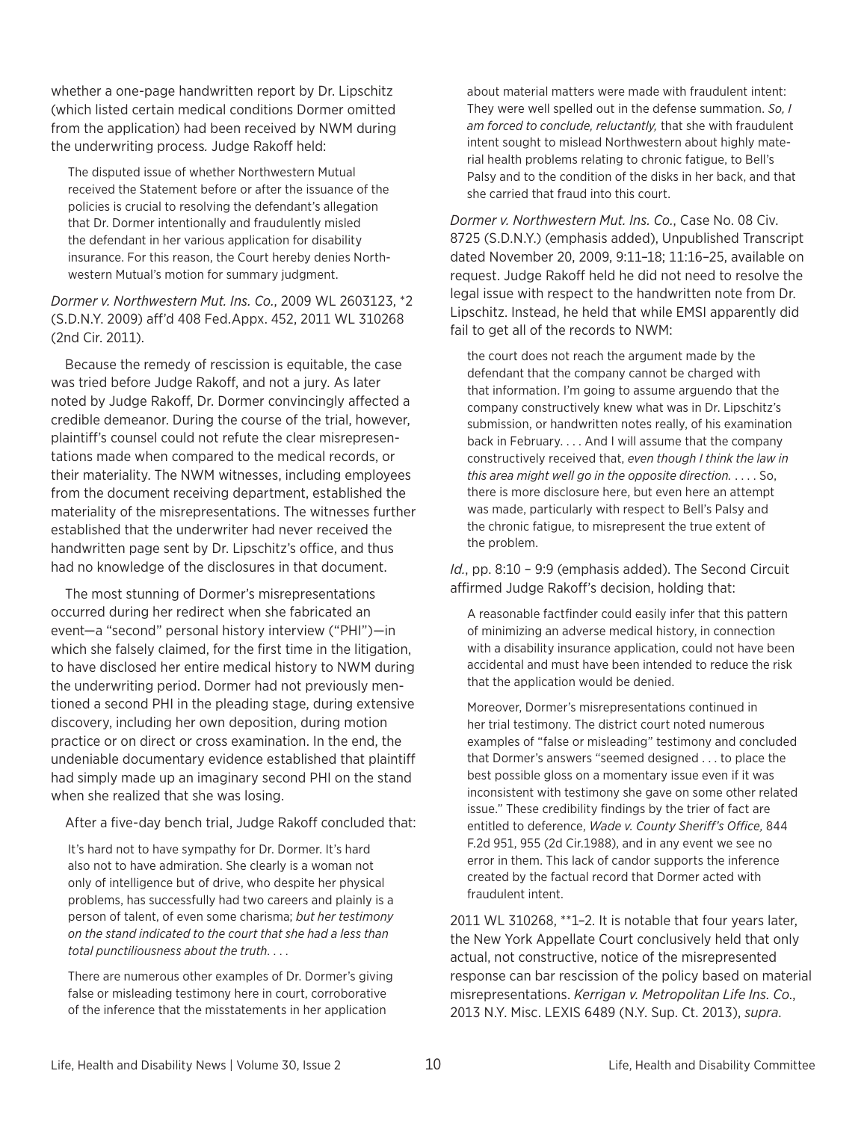whether a one-page handwritten report by Dr. Lipschitz (which listed certain medical conditions Dormer omitted from the application) had been received by NWM during the underwriting process*.* Judge Rakoff held:

The disputed issue of whether Northwestern Mutual received the Statement before or after the issuance of the policies is crucial to resolving the defendant's allegation that Dr. Dormer intentionally and fraudulently misled the defendant in her various application for disability insurance. For this reason, the Court hereby denies Northwestern Mutual's motion for summary judgment.

*Dormer v. Northwestern Mut. Ins. Co.*, 2009 WL 2603123, \*2 (S.D.N.Y. 2009) aff'd 408 Fed.Appx. 452, 2011 WL 310268 (2nd Cir. 2011).

Because the remedy of rescission is equitable, the case was tried before Judge Rakoff, and not a jury. As later noted by Judge Rakoff, Dr. Dormer convincingly affected a credible demeanor. During the course of the trial, however, plaintiff's counsel could not refute the clear misrepresentations made when compared to the medical records, or their materiality. The NWM witnesses, including employees from the document receiving department, established the materiality of the misrepresentations. The witnesses further established that the underwriter had never received the handwritten page sent by Dr. Lipschitz's office, and thus had no knowledge of the disclosures in that document.

The most stunning of Dormer's misrepresentations occurred during her redirect when she fabricated an event—a "second" personal history interview ("PHI")—in which she falsely claimed, for the first time in the litigation, to have disclosed her entire medical history to NWM during the underwriting period. Dormer had not previously mentioned a second PHI in the pleading stage, during extensive discovery, including her own deposition, during motion practice or on direct or cross examination. In the end, the undeniable documentary evidence established that plaintiff had simply made up an imaginary second PHI on the stand when she realized that she was losing.

After a five-day bench trial, Judge Rakoff concluded that:

It's hard not to have sympathy for Dr. Dormer. It's hard also not to have admiration. She clearly is a woman not only of intelligence but of drive, who despite her physical problems, has successfully had two careers and plainly is a person of talent, of even some charisma; *but her testimony on the stand indicated to the court that she had a less than total punctiliousness about the truth*. . . .

There are numerous other examples of Dr. Dormer's giving false or misleading testimony here in court, corroborative of the inference that the misstatements in her application

about material matters were made with fraudulent intent: They were well spelled out in the defense summation. *So, I am forced to conclude, reluctantly,* that she with fraudulent intent sought to mislead Northwestern about highly material health problems relating to chronic fatigue, to Bell's Palsy and to the condition of the disks in her back, and that she carried that fraud into this court.

*Dormer v. Northwestern Mut. Ins. Co.*, Case No. 08 Civ. 8725 (S.D.N.Y.) (emphasis added), Unpublished Transcript dated November 20, 2009, 9:11–18; 11:16–25, available on request. Judge Rakoff held he did not need to resolve the legal issue with respect to the handwritten note from Dr. Lipschitz. Instead, he held that while EMSI apparently did fail to get all of the records to NWM:

the court does not reach the argument made by the defendant that the company cannot be charged with that information. I'm going to assume arguendo that the company constructively knew what was in Dr. Lipschitz's submission, or handwritten notes really, of his examination back in February. . . . And I will assume that the company constructively received that, *even though I think the law in this area might well go in the opposite direction.* . . . . So, there is more disclosure here, but even here an attempt was made, particularly with respect to Bell's Palsy and the chronic fatigue, to misrepresent the true extent of the problem.

*Id.*, pp. 8:10 – 9:9 (emphasis added). The Second Circuit affirmed Judge Rakoff's decision, holding that:

A reasonable factfinder could easily infer that this pattern of minimizing an adverse medical history, in connection with a disability insurance application, could not have been accidental and must have been intended to reduce the risk that the application would be denied.

Moreover, Dormer's misrepresentations continued in her trial testimony. The district court noted numerous examples of "false or misleading" testimony and concluded that Dormer's answers "seemed designed . . . to place the best possible gloss on a momentary issue even if it was inconsistent with testimony she gave on some other related issue." These credibility findings by the trier of fact are entitled to deference, *Wade v. County Sheriff's Office,* 844 F.2d 951, 955 (2d Cir.1988), and in any event we see no error in them. This lack of candor supports the inference created by the factual record that Dormer acted with fraudulent intent.

2011 WL 310268, \*\*1–2. It is notable that four years later, the New York Appellate Court conclusively held that only actual, not constructive, notice of the misrepresented response can bar rescission of the policy based on material misrepresentations. *Kerrigan v. Metropolitan Life Ins. Co*., 2013 N.Y. Misc. LEXIS 6489 (N.Y. Sup. Ct. 2013), *supra*.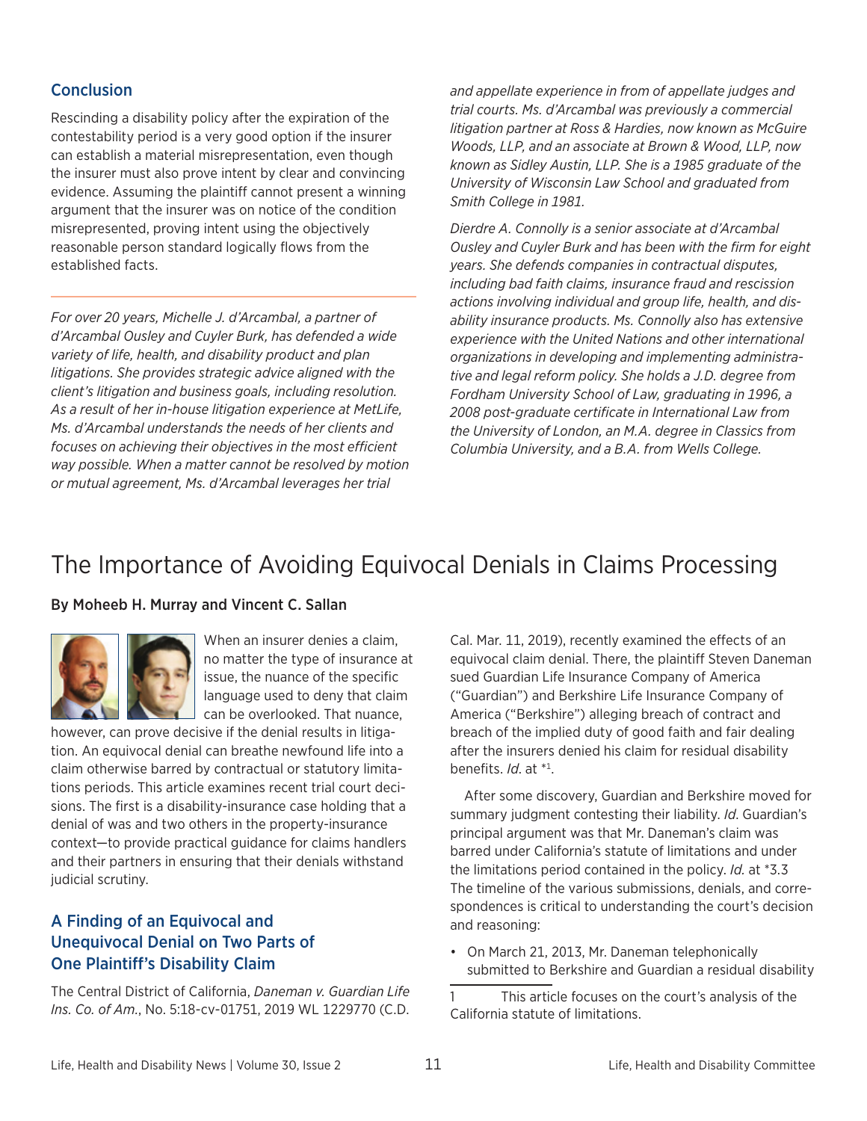#### <span id="page-10-0"></span>**Conclusion**

Rescinding a disability policy after the expiration of the contestability period is a very good option if the insurer can establish a material misrepresentation, even though the insurer must also prove intent by clear and convincing evidence. Assuming the plaintiff cannot present a winning argument that the insurer was on notice of the condition misrepresented, proving intent using the objectively reasonable person standard logically flows from the established facts.

*For over 20 years, Michelle J. d'Arcambal, a partner of d'Arcambal Ousley and Cuyler Burk, has defended a wide variety of life, health, and disability product and plan litigations. She provides strategic advice aligned with the client's litigation and business goals, including resolution. As a result of her in-house litigation experience at MetLife, Ms. d'Arcambal understands the needs of her clients and focuses on achieving their objectives in the most efficient way possible. When a matter cannot be resolved by motion or mutual agreement, Ms. d'Arcambal leverages her trial* 

*and appellate experience in from of appellate judges and trial courts. Ms. d'Arcambal was previously a commercial litigation partner at Ross & Hardies, now known as McGuire Woods, LLP, and an associate at Brown & Wood, LLP, now known as Sidley Austin, LLP. She is a 1985 graduate of the University of Wisconsin Law School and graduated from Smith College in 1981.*

*Dierdre A. Connolly is a senior associate at d'Arcambal Ousley and Cuyler Burk and has been with the firm for eight years. She defends companies in contractual disputes, including bad faith claims, insurance fraud and rescission actions involving individual and group life, health, and disability insurance products. Ms. Connolly also has extensive experience with the United Nations and other international organizations in developing and implementing administrative and legal reform policy. She holds a J.D. degree from Fordham University School of Law, graduating in 1996, a 2008 post-graduate certificate in International Law from the University of London, an M.A. degree in Classics from Columbia University, and a B.A. from Wells College.*

## The Importance of Avoiding Equivocal Denials in Claims Processing

#### By Moheeb H. Murray and Vincent C. Sallan



When an insurer denies a claim, no matter the type of insurance at issue, the nuance of the specific language used to deny that claim can be overlooked. That nuance,

however, can prove decisive if the denial results in litigation. An equivocal denial can breathe newfound life into a claim otherwise barred by contractual or statutory limitations periods. This article examines recent trial court decisions. The first is a disability-insurance case holding that a denial of was and two others in the property-insurance context—to provide practical guidance for claims handlers and their partners in ensuring that their denials withstand judicial scrutiny.

#### A Finding of an Equivocal and Unequivocal Denial on Two Parts of One Plaintiff's Disability Claim

The Central District of California, *Daneman v. Guardian Life Ins. Co. of Am.*, No. 5:18-cv-01751, 2019 WL 1229770 (C.D.

Cal. Mar. 11, 2019), recently examined the effects of an equivocal claim denial. There, the plaintiff Steven Daneman sued Guardian Life Insurance Company of America ("Guardian") and Berkshire Life Insurance Company of America ("Berkshire") alleging breach of contract and breach of the implied duty of good faith and fair dealing after the insurers denied his claim for residual disability benefits. *Id*. at \*1 .

After some discovery, Guardian and Berkshire moved for summary judgment contesting their liability. *Id*. Guardian's principal argument was that Mr. Daneman's claim was barred under California's statute of limitations and under the limitations period contained in the policy. *Id.* at \*3.3 The timeline of the various submissions, denials, and correspondences is critical to understanding the court's decision and reasoning:

• On March 21, 2013, Mr. Daneman telephonically submitted to Berkshire and Guardian a residual disability

<sup>1</sup> This article focuses on the court's analysis of the California statute of limitations.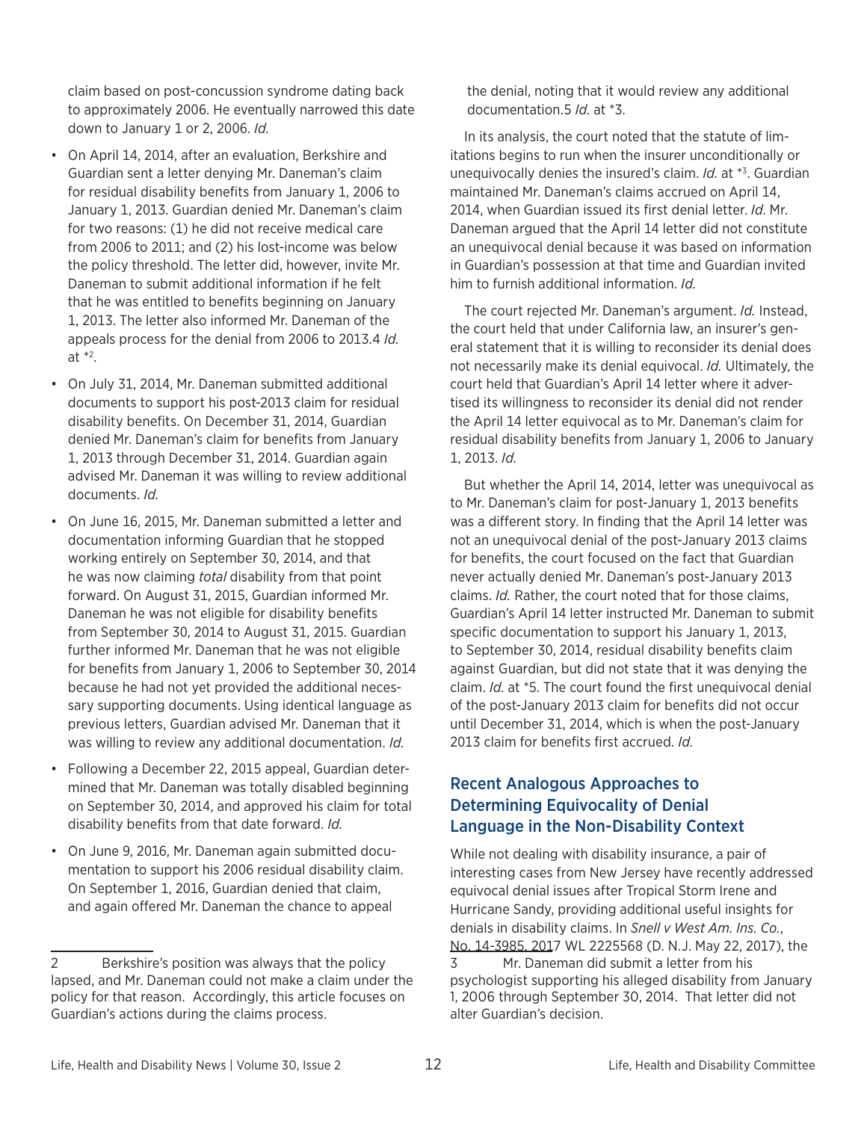claim based on post-concussion syndrome dating back to approximately 2006. He eventually narrowed this date down to January 1 or 2, 2006. *Id.*

- On April 14, 2014, after an evaluation, Berkshire and Guardian sent a letter denying Mr. Daneman's claim for residual disability benefits from January 1, 2006 to January 1, 2013. Guardian denied Mr. Daneman's claim for two reasons: (1) he did not receive medical care from 2006 to 2011; and (2) his lost-income was below the policy threshold. The letter did, however, invite Mr. Daneman to submit additional information if he felt that he was entitled to benefits beginning on January 1, 2013. The letter also informed Mr. Daneman of the appeals process for the denial from 2006 to 2013.4 *Id.*  at \*2 .
- On July 31, 2014, Mr. Daneman submitted additional documents to support his post-2013 claim for residual disability benefits. On December 31, 2014, Guardian denied Mr. Daneman's claim for benefits from January 1, 2013 through December 31, 2014. Guardian again advised Mr. Daneman it was willing to review additional documents. *Id.*
- • On June 16, 2015, Mr. Daneman submitted a letter and documentation informing Guardian that he stopped working entirely on September 30, 2014, and that he was now claiming *total* disability from that point forward. On August 31, 2015, Guardian informed Mr. Daneman he was not eligible for disability benefits from September 30, 2014 to August 31, 2015. Guardian further informed Mr. Daneman that he was not eligible for benefits from January 1, 2006 to September 30, 2014 because he had not yet provided the additional necessary supporting documents. Using identical language as previous letters, Guardian advised Mr. Daneman that it was willing to review any additional documentation. *Id.*
- Following a December 22, 2015 appeal, Guardian determined that Mr. Daneman was totally disabled beginning on September 30, 2014, and approved his claim for total disability benefits from that date forward. *Id.*
- On June 9, 2016, Mr. Daneman again submitted documentation to support his 2006 residual disability claim. On September 1, 2016, Guardian denied that claim, and again offered Mr. Daneman the chance to appeal

the denial, noting that it would review any additional documentation.5 *Id.* at \*3.

In its analysis, the court noted that the statute of limitations begins to run when the insurer unconditionally or unequivocally denies the insured's claim. *Id.* at \*3 . Guardian maintained Mr. Daneman's claims accrued on April 14, 2014, when Guardian issued its first denial letter. *Id*. Mr. Daneman argued that the April 14 letter did not constitute an unequivocal denial because it was based on information in Guardian's possession at that time and Guardian invited him to furnish additional information. *Id.*

The court rejected Mr. Daneman's argument. *Id.* Instead, the court held that under California law, an insurer's general statement that it is willing to reconsider its denial does not necessarily make its denial equivocal. *Id.* Ultimately, the court held that Guardian's April 14 letter where it advertised its willingness to reconsider its denial did not render the April 14 letter equivocal as to Mr. Daneman's claim for residual disability benefits from January 1, 2006 to January 1, 2013. *Id.*

But whether the April 14, 2014, letter was unequivocal as to Mr. Daneman's claim for post-January 1, 2013 benefits was a different story. In finding that the April 14 letter was not an unequivocal denial of the post-January 2013 claims for benefits, the court focused on the fact that Guardian never actually denied Mr. Daneman's post-January 2013 claims. *Id.* Rather, the court noted that for those claims, Guardian's April 14 letter instructed Mr. Daneman to submit specific documentation to support his January 1, 2013, to September 30, 2014, residual disability benefits claim against Guardian, but did not state that it was denying the claim. *Id.* at \*5. The court found the first unequivocal denial of the post-January 2013 claim for benefits did not occur until December 31, 2014, which is when the post-January 2013 claim for benefits first accrued. *Id.*

#### Recent Analogous Approaches to Determining Equivocality of Denial Language in the Non-Disability Context

While not dealing with disability insurance, a pair of interesting cases from New Jersey have recently addressed equivocal denial issues after Tropical Storm Irene and Hurricane Sandy, providing additional useful insights for denials in disability claims. In *Snell v West Am. Ins. Co.*, No. 14-3985, 2017 WL 2225568 (D. N.J. May 22, 2017), the 3 Mr. Daneman did submit a letter from his psychologist supporting his alleged disability from January 1, 2006 through September 30, 2014. That letter did not alter Guardian's decision.

<sup>2</sup> Berkshire's position was always that the policy lapsed, and Mr. Daneman could not make a claim under the policy for that reason. Accordingly, this article focuses on Guardian's actions during the claims process.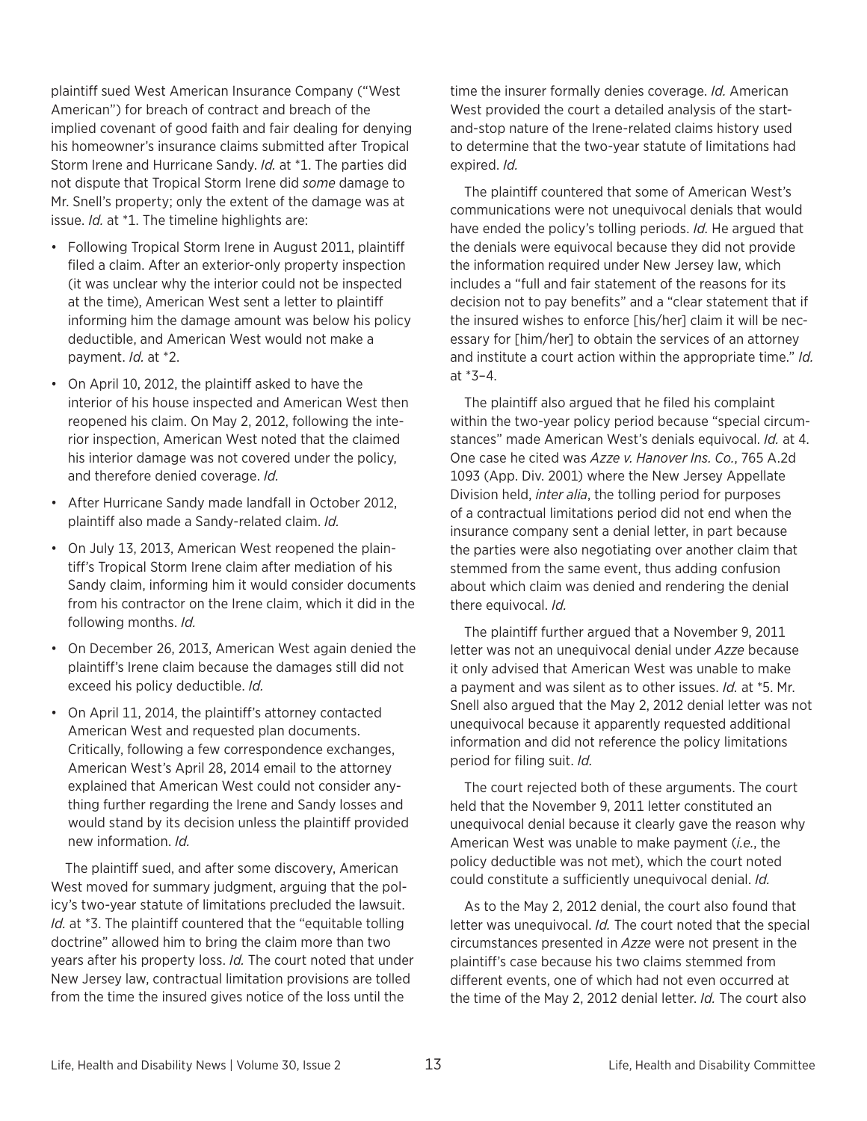plaintiff sued West American Insurance Company ("West American") for breach of contract and breach of the implied covenant of good faith and fair dealing for denying his homeowner's insurance claims submitted after Tropical Storm Irene and Hurricane Sandy. *Id.* at \*1. The parties did not dispute that Tropical Storm Irene did *some* damage to Mr. Snell's property; only the extent of the damage was at issue. *Id.* at \*1. The timeline highlights are:

- Following Tropical Storm Irene in August 2011, plaintiff filed a claim. After an exterior-only property inspection (it was unclear why the interior could not be inspected at the time), American West sent a letter to plaintiff informing him the damage amount was below his policy deductible, and American West would not make a payment. *Id.* at \*2.
- On April 10, 2012, the plaintiff asked to have the interior of his house inspected and American West then reopened his claim. On May 2, 2012, following the interior inspection, American West noted that the claimed his interior damage was not covered under the policy, and therefore denied coverage. *Id.*
- After Hurricane Sandy made landfall in October 2012, plaintiff also made a Sandy-related claim. *Id.*
- On July 13, 2013, American West reopened the plaintiff's Tropical Storm Irene claim after mediation of his Sandy claim, informing him it would consider documents from his contractor on the Irene claim, which it did in the following months. *Id.*
- On December 26, 2013, American West again denied the plaintiff's Irene claim because the damages still did not exceed his policy deductible. *Id.*
- On April 11, 2014, the plaintiff's attorney contacted American West and requested plan documents. Critically, following a few correspondence exchanges, American West's April 28, 2014 email to the attorney explained that American West could not consider anything further regarding the Irene and Sandy losses and would stand by its decision unless the plaintiff provided new information. *Id.*

The plaintiff sued, and after some discovery, American West moved for summary judgment, arguing that the policy's two-year statute of limitations precluded the lawsuit. *Id.* at \*3. The plaintiff countered that the "equitable tolling doctrine" allowed him to bring the claim more than two years after his property loss. *Id.* The court noted that under New Jersey law, contractual limitation provisions are tolled from the time the insured gives notice of the loss until the

time the insurer formally denies coverage. *Id.* American West provided the court a detailed analysis of the startand-stop nature of the Irene-related claims history used to determine that the two-year statute of limitations had expired. *Id.*

The plaintiff countered that some of American West's communications were not unequivocal denials that would have ended the policy's tolling periods. *Id.* He argued that the denials were equivocal because they did not provide the information required under New Jersey law, which includes a "full and fair statement of the reasons for its decision not to pay benefits" and a "clear statement that if the insured wishes to enforce [his/her] claim it will be necessary for [him/her] to obtain the services of an attorney and institute a court action within the appropriate time." *Id.*  at \*3–4.

The plaintiff also argued that he filed his complaint within the two-year policy period because "special circumstances" made American West's denials equivocal. *Id.* at 4. One case he cited was *Azze v. Hanover Ins. Co.*, 765 A.2d 1093 (App. Div. 2001) where the New Jersey Appellate Division held, *inter alia*, the tolling period for purposes of a contractual limitations period did not end when the insurance company sent a denial letter, in part because the parties were also negotiating over another claim that stemmed from the same event, thus adding confusion about which claim was denied and rendering the denial there equivocal. *Id.*

The plaintiff further argued that a November 9, 2011 letter was not an unequivocal denial under *Azze* because it only advised that American West was unable to make a payment and was silent as to other issues. *Id.* at \*5. Mr. Snell also argued that the May 2, 2012 denial letter was not unequivocal because it apparently requested additional information and did not reference the policy limitations period for filing suit. *Id.*

The court rejected both of these arguments. The court held that the November 9, 2011 letter constituted an unequivocal denial because it clearly gave the reason why American West was unable to make payment (*i.e.*, the policy deductible was not met), which the court noted could constitute a sufficiently unequivocal denial. *Id.*

As to the May 2, 2012 denial, the court also found that letter was unequivocal. *Id.* The court noted that the special circumstances presented in *Azze* were not present in the plaintiff's case because his two claims stemmed from different events, one of which had not even occurred at the time of the May 2, 2012 denial letter. *Id.* The court also